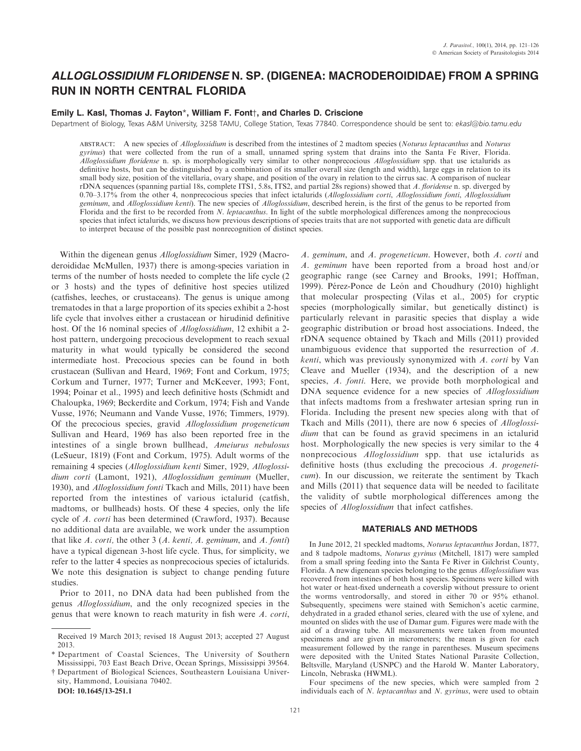# ALLOGLOSSIDIUM FLORIDENSE N. SP. (DIGENEA: MACRODEROIDIDAE) FROM A SPRING RUN IN NORTH CENTRAL FLORIDA

## Emily L. Kasl, Thomas J. Fayton\*, William F. Font†, and Charles D. Criscione

Department of Biology, Texas A&M University, 3258 TAMU, College Station, Texas 77840. Correspondence should be sent to: ekasl@bio.tamu.edu

ABSTRACT: A new species of *Alloglossidium* is described from the intestines of 2 madtom species (Noturus leptacanthus and Noturus gyrinus) that were collected from the run of a small, unnamed spring system that drains into the Santa Fe River, Florida. Alloglossidium floridense n. sp. is morphologically very similar to other nonprecocious Alloglossidium spp. that use ictalurids as definitive hosts, but can be distinguished by a combination of its smaller overall size (length and width), large eggs in relation to its small body size, position of the vitellaria, ovary shape, and position of the ovary in relation to the cirrus sac. A comparison of nuclear rDNA sequences (spanning partial 18s, complete ITS1, 5.8s, ITS2, and partial 28s regions) showed that A. floridense n. sp. diverged by 0.70–3.17% from the other 4, nonprecocious species that infect ictalurids (Alloglossidium corti, Alloglossidium fonti, Alloglossidium geminum, and Alloglossidium kenti). The new species of Alloglossidium, described herein, is the first of the genus to be reported from Florida and the first to be recorded from N. leptacanthus. In light of the subtle morphological differences among the nonprecocious species that infect ictalurids, we discuss how previous descriptions of species traits that are not supported with genetic data are difficult to interpret because of the possible past nonrecognition of distinct species.

Within the digenean genus Alloglossidium Simer, 1929 (Macroderoididae McMullen, 1937) there is among-species variation in terms of the number of hosts needed to complete the life cycle (2 or 3 hosts) and the types of definitive host species utilized (catfishes, leeches, or crustaceans). The genus is unique among trematodes in that a large proportion of its species exhibit a 2-host life cycle that involves either a crustacean or hirudinid definitive host. Of the 16 nominal species of Alloglossidium, 12 exhibit a 2 host pattern, undergoing precocious development to reach sexual maturity in what would typically be considered the second intermediate host. Precocious species can be found in both crustacean (Sullivan and Heard, 1969; Font and Corkum, 1975; Corkum and Turner, 1977; Turner and McKeever, 1993; Font, 1994; Poinar et al., 1995) and leech definitive hosts (Schmidt and Chaloupka, 1969; Beckerdite and Corkum, 1974; Fish and Vande Vusse, 1976; Neumann and Vande Vusse, 1976; Timmers, 1979). Of the precocious species, gravid Alloglossidium progeneticum Sullivan and Heard, 1969 has also been reported free in the intestines of a single brown bullhead, Ameiurus nebulosus (LeSueur, 1819) (Font and Corkum, 1975). Adult worms of the remaining 4 species (Alloglossidium kenti Simer, 1929, Alloglossidium corti (Lamont, 1921), Alloglossidium geminum (Mueller, 1930), and *Alloglossidium fonti* Tkach and Mills, 2011) have been reported from the intestines of various ictalurid (catfish, madtoms, or bullheads) hosts. Of these 4 species, only the life cycle of A. corti has been determined (Crawford, 1937). Because no additional data are available, we work under the assumption that like A. corti, the other  $3(A. \text{ kenti}, A. \text{ geminum}, \text{ and } A. \text{ fonti})$ have a typical digenean 3-host life cycle. Thus, for simplicity, we refer to the latter 4 species as nonprecocious species of ictalurids. We note this designation is subject to change pending future studies.

Prior to 2011, no DNA data had been published from the genus Alloglossidium, and the only recognized species in the genus that were known to reach maturity in fish were A. corti,

† Department of Biological Sciences, Southeastern Louisiana University, Hammond, Louisiana 70402.

DOI: 10.1645/13-251.1

A. geminum, and A. progeneticum. However, both A. corti and A. geminum have been reported from a broad host and/or geographic range (see Carney and Brooks, 1991; Hoffman, 1999). Pérez-Ponce de León and Choudhury (2010) highlight that molecular prospecting (Vilas et al., 2005) for cryptic species (morphologically similar, but genetically distinct) is particularly relevant in parasitic species that display a wide geographic distribution or broad host associations. Indeed, the rDNA sequence obtained by Tkach and Mills (2011) provided unambiguous evidence that supported the resurrection of A. kenti, which was previously synonymized with A. corti by Van Cleave and Mueller (1934), and the description of a new species, A. fonti. Here, we provide both morphological and DNA sequence evidence for a new species of Alloglossidium that infects madtoms from a freshwater artesian spring run in Florida. Including the present new species along with that of Tkach and Mills (2011), there are now 6 species of Alloglossidium that can be found as gravid specimens in an ictalurid host. Morphologically the new species is very similar to the 4 nonprecocious Alloglossidium spp. that use ictalurids as definitive hosts (thus excluding the precocious A. progeneticum). In our discussion, we reiterate the sentiment by Tkach and Mills (2011) that sequence data will be needed to facilitate the validity of subtle morphological differences among the species of Alloglossidium that infect catfishes.

### MATERIALS AND METHODS

In June 2012, 21 speckled madtoms, Noturus leptacanthus Jordan, 1877, and 8 tadpole madtoms, Noturus gyrinus (Mitchell, 1817) were sampled from a small spring feeding into the Santa Fe River in Gilchrist County, Florida. A new digenean species belonging to the genus Alloglossidium was recovered from intestines of both host species. Specimens were killed with hot water or heat-fixed underneath a coverslip without pressure to orient the worms ventrodorsally, and stored in either 70 or 95% ethanol. Subsequently, specimens were stained with Semichon's acetic carmine, dehydrated in a graded ethanol series, cleared with the use of xylene, and mounted on slides with the use of Damar gum. Figures were made with the aid of a drawing tube. All measurements were taken from mounted specimens and are given in micrometers; the mean is given for each measurement followed by the range in parentheses. Museum specimens were deposited with the United States National Parasite Collection, Beltsville, Maryland (USNPC) and the Harold W. Manter Laboratory, Lincoln, Nebraska (HWML).

Four specimens of the new species, which were sampled from 2 individuals each of N. leptacanthus and N. gyrinus, were used to obtain

Received 19 March 2013; revised 18 August 2013; accepted 27 August 2013.

<sup>\*</sup> Department of Coastal Sciences, The University of Southern Mississippi, 703 East Beach Drive, Ocean Springs, Mississippi 39564.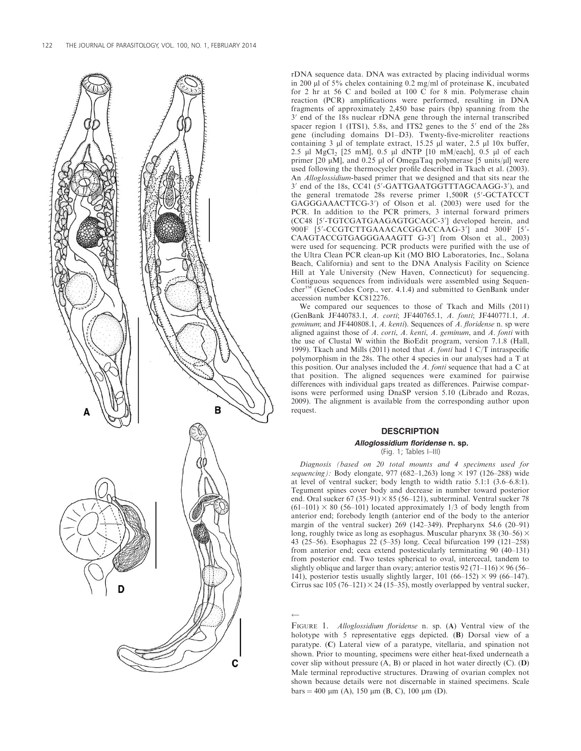

rDNA sequence data. DNA was extracted by placing individual worms in 200  $\mu$ l of 5% chelex containing 0.2 mg/ml of proteinase K, incubated for 2 hr at 56 C and boiled at 100 C for 8 min. Polymerase chain reaction (PCR) amplifications were performed, resulting in DNA fragments of approximately 2,450 base pairs (bp) spanning from the  $3'$  end of the  $18s$  nuclear rDNA gene through the internal transcribed spacer region 1 (ITS1), 5.8s, and ITS2 genes to the  $5'$  end of the 28s gene (including domains D1–D3). Twenty-five-microliter reactions containing  $3 \mu$  of template extract,  $15.25 \mu$  water,  $2.5 \mu$  10x buffer, 2.5  $\mu$ l MgCl<sub>2</sub> [25 mM], 0.5  $\mu$ l dNTP [10 mM/each], 0.5  $\mu$ l of each primer [20  $\mu$ M], and 0.25  $\mu$ l of OmegaTaq polymerase [5 units/ $\mu$ l] were used following the thermocycler profile described in Tkach et al. (2003). An Alloglossidium-based primer that we designed and that sits near the 3' end of the 18s, CC41 (5'-GATTGAATGGTTTAGCAAGG-3'), and the general trematode 28s reverse primer 1,500R (5'-GCTATCCT GAGGGAAACTTCG-3') of Olson et al. (2003) were used for the PCR. In addition to the PCR primers, 3 internal forward primers (CC48 [5'-TGTCGATGAAGAGTGCAGC-3'] developed herein, and 900F [5'-CCGTCTTGAAACACGGACCAAG-3'] and 300F [5'-CAAGTACCGTGAGGGAAAGTT G-3'] from Olson et al., 2003) were used for sequencing. PCR products were purified with the use of the Ultra Clean PCR clean-up Kit (MO BIO Laboratories, Inc., Solana Beach, California) and sent to the DNA Analysis Facility on Science Hill at Yale University (New Haven, Connecticut) for sequencing. Contiguous sequences from individuals were assembled using Sequen $cher^{TM}$  (GeneCodes Corp., ver. 4.1.4) and submitted to GenBank under accession number KC812276.

We compared our sequences to those of Tkach and Mills (2011) (GenBank JF440783.1, A. corti; JF440765.1, A. fonti; JF440771.1, A. geminum; and JF440808.1, A. kenti). Sequences of A. floridense n. sp were aligned against those of A. corti, A. kenti, A. geminum, and A. fonti with the use of Clustal W within the BioEdit program, version 7.1.8 (Hall, 1999). Tkach and Mills (2011) noted that A. fonti had 1 C/T intraspecific polymorphism in the 28s. The other 4 species in our analyses had a T at this position. Our analyses included the A. fonti sequence that had a C at that position. The aligned sequences were examined for pairwise differences with individual gaps treated as differences. Pairwise comparisons were performed using DnaSP version 5.10 (Librado and Rozas, 2009). The alignment is available from the corresponding author upon request.

# **DESCRIPTION**

# Alloglossidium floridense n. sp.

(Fig. 1; Tables I–III)

Diagnosis (based on 20 total mounts and 4 specimens used for sequencing): Body elongate, 977 (682–1,263) long  $\times$  197 (126–288) wide at level of ventral sucker; body length to width ratio 5.1:1 (3.6–6.8:1). Tegument spines cover body and decrease in number toward posterior end. Oral sucker 67 (35–91)  $\times$  85 (56–121), subterminal. Ventral sucker 78  $(61-101) \times 80$  (56-101) located approximately 1/3 of body length from anterior end; forebody length (anterior end of the body to the anterior margin of the ventral sucker) 269 (142–349). Prepharynx 54.6 (20–91) long, roughly twice as long as esophagus. Muscular pharynx 38 (30–56)  $\times$ 43 (25–56). Esophagus 22 (5–35) long. Cecal bifurcation 199 (121–258) from anterior end; ceca extend postesticularly terminating 90 (40–131) from posterior end. Two testes spherical to oval, intercecal, tandem to slightly oblique and larger than ovary; anterior testis 92 (71–116)  $\times$  96 (56– 141), posterior testis usually slightly larger, 101 (66–152)  $\times$  99 (66–147). Cirrus sac  $105 (76–121) \times 24 (15–35)$ , mostly overlapped by ventral sucker,

FIGURE 1. Alloglossidium floridense n. sp. (A) Ventral view of the holotype with 5 representative eggs depicted. (B) Dorsal view of a paratype. (C) Lateral view of a paratype, vitellaria, and spination not shown. Prior to mounting, specimens were either heat-fixed underneath a cover slip without pressure (A, B) or placed in hot water directly (C). (D) Male terminal reproductive structures. Drawing of ovarian complex not shown because details were not discernable in stained specimens. Scale  $bars = 400 \mu m$  (A), 150  $\mu m$  (B, C), 100  $\mu m$  (D).

 $\leftarrow$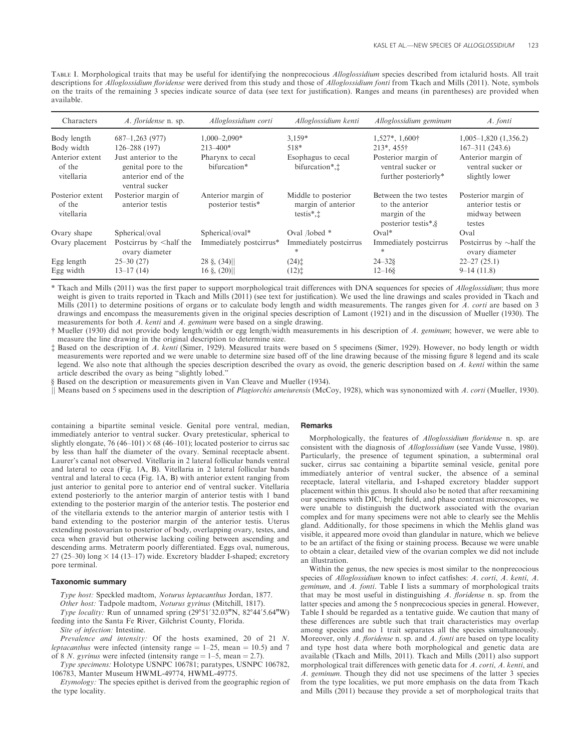TABLE I. Morphological traits that may be useful for identifying the nonprecocious Alloglossidium species described from ictalurid hosts. All trait descriptions for *Alloglossidium floridense* were derived from this study and those of *Alloglossidium fonti* from Tkach and Mills (2011). Note, symbols on the traits of the remaining 3 species indicate source of data (see text for justification). Ranges and means (in parentheses) are provided when available.

| Characters                               | A. floridense n. sp.                                                                 | Alloglossidium corti                    | Alloglossidium kenti                                                | Alloglossidium geminum                                                            | A. fonti                                                              |
|------------------------------------------|--------------------------------------------------------------------------------------|-----------------------------------------|---------------------------------------------------------------------|-----------------------------------------------------------------------------------|-----------------------------------------------------------------------|
| Body length                              | $687-1,263(977)$                                                                     | $1,000-2,090*$                          | $3,159*$                                                            | $1,527^*, 1,600\dagger$                                                           | $1,005-1,820$ $(1,356.2)$                                             |
| Body width                               | $126 - 288(197)$                                                                     | $213 - 400*$                            | 518*                                                                | $213^*$ , $455^*$                                                                 | $167 - 311(243.6)$                                                    |
| Anterior extent<br>of the<br>vitellaria  | Just anterior to the<br>genital pore to the<br>anterior end of the<br>ventral sucker | Pharynx to cecal<br>bifurcation*        | Esophagus to cecal<br>bifurcation <sup>*</sup> . <sup>†</sup>       | Posterior margin of<br>ventral sucker or<br>further posteriorly*                  | Anterior margin of<br>ventral sucker or<br>slightly lower             |
| Posterior extent<br>of the<br>vitellaria | Posterior margin of<br>anterior testis                                               | Anterior margin of<br>posterior testis* | Middle to posterior<br>margin of anterior<br>testis $*$ , $\dagger$ | Between the two testes<br>to the anterior<br>margin of the<br>posterior testis*,§ | Posterior margin of<br>anterior testis or<br>midway between<br>testes |
| Ovary shape                              | Spherical/oval                                                                       | Spherical/oval*                         | Oval /lobed *                                                       | $Oval^*$                                                                          | Oval                                                                  |
| Ovary placement                          | Postcirrus by <half the<br="">ovary diameter</half>                                  | Immediately postcirrus*                 | Immediately postcirrus<br>*                                         | Immediately postcirrus<br>*                                                       | Postcirrus by $\sim$ half the<br>ovary diameter                       |
| Egg length                               | $25 - 30(27)$                                                                        | $28 \xi, (34)$                          | $(24)$ <sup><math>\dagger</math></sup>                              | $24 - 328$                                                                        | $22 - 27(25.1)$                                                       |
| Egg width                                | $13-17(14)$                                                                          | $16 \S$ , $(20)$                        | $(12)$ <sup><math>\ddagger</math></sup>                             | $12 - 168$                                                                        | $9-14(11.8)$                                                          |

\* Tkach and Mills (2011) was the first paper to support morphological trait differences with DNA sequences for species of *Alloglossidium*; thus more weight is given to traits reported in Tkach and Mills (2011) (see text for justification). We used the line drawings and scales provided in Tkach and Mills (2011) to determine positions of organs or to calculate body length and width measurements. The ranges given for A. corti are based on 3 drawings and encompass the measurements given in the original species description of Lamont (1921) and in the discussion of Mueller (1930). The measurements for both A. kenti and A. geminum were based on a single drawing.

† Mueller (1930) did not provide body length/width or egg length/width measurements in his description of A. geminum; however, we were able to measure the line drawing in the original description to determine size.

‡ Based on the description of A. kenti (Simer, 1929). Measured traits were based on 5 specimens (Simer, 1929). However, no body length or width measurements were reported and we were unable to determine size based off of the line drawing because of the missing figure 8 legend and its scale legend. We also note that although the species description described the ovary as ovoid, the generic description based on A. kenti within the same article described the ovary as being ''slightly lobed.''

§ Based on the description or measurements given in Van Cleave and Mueller (1934).

|| Means based on 5 specimens used in the description of Plagiorchis ameiurensis (McCoy, 1928), which was synonomized with A. corti (Mueller, 1930).

containing a bipartite seminal vesicle. Genital pore ventral, median, immediately anterior to ventral sucker. Ovary pretesticular, spherical to slightly elongate, 76 (46–101)  $\times$  68 (46–101); located posterior to cirrus sac by less than half the diameter of the ovary. Seminal receptacle absent. Laurer's canal not observed. Vitellaria in 2 lateral follicular bands ventral and lateral to ceca (Fig. 1A, B). Vitellaria in 2 lateral follicular bands ventral and lateral to ceca (Fig. 1A, B) with anterior extent ranging from just anterior to genital pore to anterior end of ventral sucker. Vitellaria extend posteriorly to the anterior margin of anterior testis with 1 band extending to the posterior margin of the anterior testis. The posterior end of the vitellaria extends to the anterior margin of anterior testis with 1 band extending to the posterior margin of the anterior testis. Uterus extending postovarian to posterior of body, overlapping ovary, testes, and ceca when gravid but otherwise lacking coiling between ascending and descending arms. Metraterm poorly differentiated. Eggs oval, numerous, 27 (25–30) long  $\times$  14 (13–17) wide. Excretory bladder I-shaped; excretory pore terminal.

#### Taxonomic summary

Type host: Speckled madtom, Noturus leptacanthus Jordan, 1877.

Other host: Tadpole madtom, Noturus gyrinus (Mitchill, 1817).

*Type locality:* Run of unnamed spring  $(29°51'32.03''N, 82°44'5.64''W)$ feeding into the Santa Fe River, Gilchrist County, Florida.

Site of infection: Intestine.

Prevalence and intensity: Of the hosts examined, 20 of 21 N. *leptacanthus* were infected (intensity range  $= 1-25$ , mean  $= 10.5$ ) and 7 of 8 N. gyrinus were infected (intensity range  $= 1-5$ , mean  $= 2.7$ ).

Type specimens: Holotype USNPC 106781; paratypes, USNPC 106782, 106783, Manter Museum HWML-49774, HWML-49775.

Etymology: The species epithet is derived from the geographic region of the type locality.

#### Remarks

Morphologically, the features of *Alloglossidium floridense* n. sp. are consistent with the diagnosis of Alloglossidium (see Vande Vusse, 1980). Particularly, the presence of tegument spination, a subterminal oral sucker, cirrus sac containing a bipartite seminal vesicle, genital pore immediately anterior of ventral sucker, the absence of a seminal receptacle, lateral vitellaria, and I-shaped excretory bladder support placement within this genus. It should also be noted that after reexamining our specimens with DIC, bright field, and phase contrast microscopes, we were unable to distinguish the ductwork associated with the ovarian complex and for many specimens were not able to clearly see the Mehlis gland. Additionally, for those specimens in which the Mehlis gland was visible, it appeared more ovoid than glandular in nature, which we believe to be an artifact of the fixing or staining process. Because we were unable to obtain a clear, detailed view of the ovarian complex we did not include an illustration.

Within the genus, the new species is most similar to the nonprecocious species of Alloglossidium known to infect catfishes: A. corti, A. kenti, A. geminum, and A. fonti. Table I lists a summary of morphological traits that may be most useful in distinguishing  $A$ . floridense n. sp. from the latter species and among the 5 nonprecocious species in general. However, Table I should be regarded as a tentative guide. We caution that many of these differences are subtle such that trait characteristics may overlap among species and no 1 trait separates all the species simultaneously. Moreover, only A. floridense n. sp. and A. fonti are based on type locality and type host data where both morphological and genetic data are available (Tkach and Mills, 2011). Tkach and Mills (2011) also support morphological trait differences with genetic data for A. corti, A. kenti, and A. geminum. Though they did not use specimens of the latter 3 species from the type localities, we put more emphasis on the data from Tkach and Mills (2011) because they provide a set of morphological traits that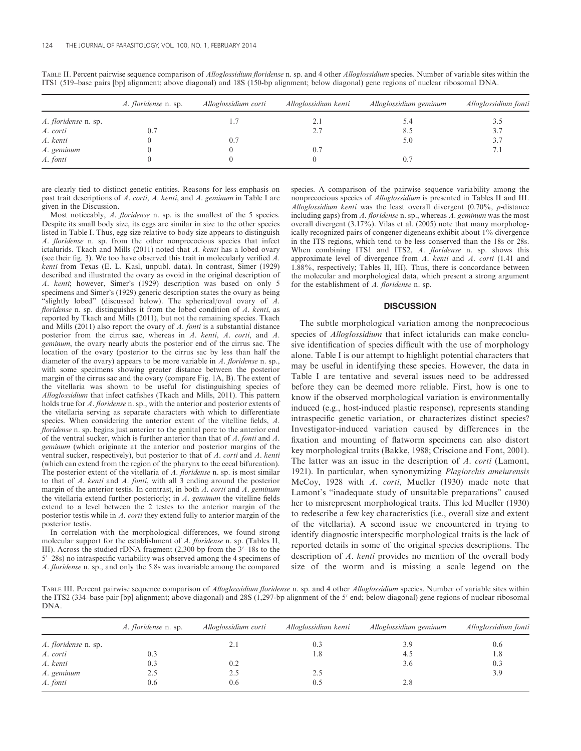|                      | A. floridense n. sp. | Alloglossidium corti | Alloglossidium kenti | Alloglossidium geminum | Alloglossidium fonti |
|----------------------|----------------------|----------------------|----------------------|------------------------|----------------------|
| A. floridense n. sp. |                      |                      | 2.1                  | 5.4                    |                      |
| A. corti             | 0.1                  |                      | 2.7                  | 8.5                    | 3.7                  |
| A. kenti             |                      | $0^{\circ}$          |                      | 5.0                    | 3.7                  |
| A. geminum           |                      |                      | 0.7                  |                        | 7.1                  |
| A. fonti             |                      |                      |                      | 0.7                    |                      |

TABLE II. Percent pairwise sequence comparison of Alloglossidium floridense n. sp. and 4 other Alloglossidium species. Number of variable sites within the ITS1 (519–base pairs [bp] alignment; above diagonal) and 18S (150-bp alignment; below diagonal) gene regions of nuclear ribosomal DNA.

are clearly tied to distinct genetic entities. Reasons for less emphasis on past trait descriptions of A. corti, A. kenti, and A. geminum in Table I are given in the Discussion.

Most noticeably, A. *floridense* n. sp. is the smallest of the 5 species. Despite its small body size, its eggs are similar in size to the other species listed in Table I. Thus, egg size relative to body size appears to distinguish A. floridense n. sp. from the other nonprecocious species that infect ictalurids. Tkach and Mills (2011) noted that A. kenti has a lobed ovary (see their fig. 3). We too have observed this trait in molecularly verified A. kenti from Texas (E. L. Kasl, unpubl. data). In contrast, Simer (1929) described and illustrated the ovary as ovoid in the original description of A. kenti; however, Simer's (1929) description was based on only 5 specimens and Simer's (1929) generic description states the ovary as being "slightly lobed" (discussed below). The spherical/oval ovary of  $A$ . floridense n. sp. distinguishes it from the lobed condition of A. kenti, as reported by Tkach and Mills (2011), but not the remaining species. Tkach and Mills (2011) also report the ovary of A. fonti is a substantial distance posterior from the cirrus sac, whereas in A. kenti, A. corti, and A. geminum, the ovary nearly abuts the posterior end of the cirrus sac. The location of the ovary (posterior to the cirrus sac by less than half the diameter of the ovary) appears to be more variable in  $A$ . floridense n. sp., with some specimens showing greater distance between the posterior margin of the cirrus sac and the ovary (compare Fig. 1A, B). The extent of the vitellaria was shown to be useful for distinguishing species of Alloglossidium that infect catfishes (Tkach and Mills, 2011). This pattern holds true for A. *floridense* n. sp., with the anterior and posterior extents of the vitellaria serving as separate characters with which to differentiate species. When considering the anterior extent of the vitelline fields, A. floridense n. sp. begins just anterior to the genital pore to the anterior end of the ventral sucker, which is further anterior than that of A. fonti and A. geminum (which originate at the anterior and posterior margins of the ventral sucker, respectively), but posterior to that of A. corti and A. kenti (which can extend from the region of the pharynx to the cecal bifurcation). The posterior extent of the vitellaria of A. floridense n. sp. is most similar to that of A. kenti and A. fonti, with all 3 ending around the posterior margin of the anterior testis. In contrast, in both A. corti and A. geminum the vitellaria extend further posteriorly; in A. geminum the vitelline fields extend to a level between the 2 testes to the anterior margin of the posterior testis while in A. corti they extend fully to anterior margin of the posterior testis.

In correlation with the morphological differences, we found strong molecular support for the establishment of A. floridense n. sp. (Tables II, III). Across the studied rDNA fragment  $(2,300$  bp from the  $3'-18$ s to the 5'-28s) no intraspecific variability was observed among the 4 specimens of A. floridense n. sp., and only the 5.8s was invariable among the compared species. A comparison of the pairwise sequence variability among the nonprecocious species of Alloglossidium is presented in Tables II and III. Alloglossidium kenti was the least overall divergent (0.70%, p-distance including gaps) from A. floridense n. sp., whereas A. geminum was the most overall divergent (3.17%). Vilas et al. (2005) note that many morphologically recognized pairs of congener digeneans exhibit about 1% divergence in the ITS regions, which tend to be less conserved than the 18s or 28s. When combining ITS1 and ITS2, A. floridense n. sp. shows this approximate level of divergence from  $A$ . kenti and  $A$ . corti (1.41 and 1.88%, respectively; Tables II, III). Thus, there is concordance between the molecular and morphological data, which present a strong argument for the establishment of A. floridense n. sp.

### **DISCUSSION**

The subtle morphological variation among the nonprecocious species of Alloglossidium that infect ictalurids can make conclusive identification of species difficult with the use of morphology alone. Table I is our attempt to highlight potential characters that may be useful in identifying these species. However, the data in Table I are tentative and several issues need to be addressed before they can be deemed more reliable. First, how is one to know if the observed morphological variation is environmentally induced (e.g., host-induced plastic response), represents standing intraspecific genetic variation, or characterizes distinct species? Investigator-induced variation caused by differences in the fixation and mounting of flatworm specimens can also distort key morphological traits (Bakke, 1988; Criscione and Font, 2001). The latter was an issue in the description of A. corti (Lamont, 1921). In particular, when synonymizing Plagiorchis ameiurensis McCoy, 1928 with A. corti, Mueller (1930) made note that Lamont's ''inadequate study of unsuitable preparations'' caused her to misrepresent morphological traits. This led Mueller (1930) to redescribe a few key characteristics (i.e., overall size and extent of the vitellaria). A second issue we encountered in trying to identify diagnostic interspecific morphological traits is the lack of reported details in some of the original species descriptions. The description of A. kenti provides no mention of the overall body size of the worm and is missing a scale legend on the

TABLE III. Percent pairwise sequence comparison of Alloglossidium floridense n. sp. and 4 other Alloglossidium species. Number of variable sites within the ITS2 (334–base pair [bp] alignment; above diagonal) and 28S (1,297-bp alignment of the 5' end; below diagonal) gene regions of nuclear ribosomal DNA.

|                      | A. floridense n. sp. | Alloglossidium corti | Alloglossidium kenti | Alloglossidium geminum | Alloglossidium fonti |
|----------------------|----------------------|----------------------|----------------------|------------------------|----------------------|
| A. floridense n. sp. |                      | 2.1                  | 0.3                  | 3.9                    | 0.6                  |
| A. corti             | 0.3                  |                      | 1.8                  | 4.5                    | 1.8                  |
| A. kenti             | 0.3                  | 0.2                  |                      | 3.6                    | 0.3                  |
| A. geminum           | 2.5                  | 2.5                  | 2.5                  |                        | 3.9                  |
| A. fonti             | 0.6                  | 0.6                  | 0.5                  | 2.8                    |                      |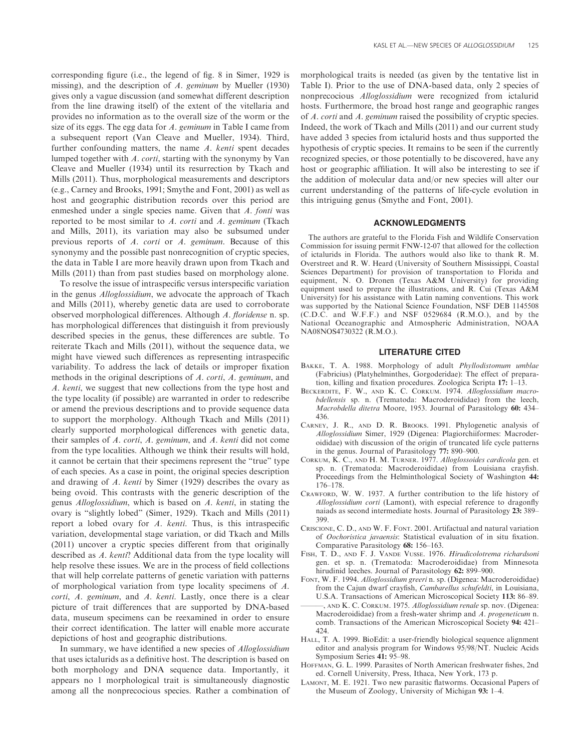corresponding figure (i.e., the legend of fig. 8 in Simer, 1929 is missing), and the description of A. geminum by Mueller (1930) gives only a vague discussion (and somewhat different description from the line drawing itself) of the extent of the vitellaria and provides no information as to the overall size of the worm or the size of its eggs. The egg data for A. geminum in Table I came from a subsequent report (Van Cleave and Mueller, 1934). Third, further confounding matters, the name A. kenti spent decades lumped together with  $A$ . *corti*, starting with the synonymy by Van Cleave and Mueller (1934) until its resurrection by Tkach and Mills (2011). Thus, morphological measurements and descriptors (e.g., Carney and Brooks, 1991; Smythe and Font, 2001) as well as host and geographic distribution records over this period are enmeshed under a single species name. Given that A. fonti was reported to be most similar to  $A$ . *corti* and  $A$ . *geminum* (Tkach and Mills, 2011), its variation may also be subsumed under previous reports of A. corti or A. geminum. Because of this synonymy and the possible past nonrecognition of cryptic species, the data in Table I are more heavily drawn upon from Tkach and Mills (2011) than from past studies based on morphology alone.

To resolve the issue of intraspecific versus interspecific variation in the genus Alloglossidium, we advocate the approach of Tkach and Mills (2011), whereby genetic data are used to corroborate observed morphological differences. Although A. floridense n. sp. has morphological differences that distinguish it from previously described species in the genus, these differences are subtle. To reiterate Tkach and Mills (2011), without the sequence data, we might have viewed such differences as representing intraspecific variability. To address the lack of details or improper fixation methods in the original descriptions of A. corti, A. geminum, and A. kenti, we suggest that new collections from the type host and the type locality (if possible) are warranted in order to redescribe or amend the previous descriptions and to provide sequence data to support the morphology. Although Tkach and Mills (2011) clearly supported morphological differences with genetic data, their samples of A. corti, A. geminum, and A. kenti did not come from the type localities. Although we think their results will hold, it cannot be certain that their specimens represent the ''true'' type of each species. As a case in point, the original species description and drawing of A. kenti by Simer (1929) describes the ovary as being ovoid. This contrasts with the generic description of the genus Alloglossidium, which is based on A. kenti, in stating the ovary is ''slightly lobed'' (Simer, 1929). Tkach and Mills (2011) report a lobed ovary for A. kenti. Thus, is this intraspecific variation, developmental stage variation, or did Tkach and Mills (2011) uncover a cryptic species different from that originally described as A. kenti? Additional data from the type locality will help resolve these issues. We are in the process of field collections that will help correlate patterns of genetic variation with patterns of morphological variation from type locality specimens of A. corti, A. geminum, and A. kenti. Lastly, once there is a clear picture of trait differences that are supported by DNA-based data, museum specimens can be reexamined in order to ensure their correct identification. The latter will enable more accurate depictions of host and geographic distributions.

In summary, we have identified a new species of Alloglossidium that uses ictalurids as a definitive host. The description is based on both morphology and DNA sequence data. Importantly, it appears no 1 morphological trait is simultaneously diagnostic among all the nonprecocious species. Rather a combination of

morphological traits is needed (as given by the tentative list in Table I). Prior to the use of DNA-based data, only 2 species of nonprecocious Alloglossidium were recognized from ictalurid hosts. Furthermore, the broad host range and geographic ranges of A. corti and A. geminum raised the possibility of cryptic species. Indeed, the work of Tkach and Mills (2011) and our current study have added 3 species from ictalurid hosts and thus supported the hypothesis of cryptic species. It remains to be seen if the currently recognized species, or those potentially to be discovered, have any host or geographic affiliation. It will also be interesting to see if the addition of molecular data and/or new species will alter our current understanding of the patterns of life-cycle evolution in this intriguing genus (Smythe and Font, 2001).

## ACKNOWLEDGMENTS

The authors are grateful to the Florida Fish and Wildlife Conservation Commission for issuing permit FNW-12-07 that allowed for the collection of ictalurids in Florida. The authors would also like to thank R. M. Overstreet and R. W. Heard (University of Southern Mississippi, Coastal Sciences Department) for provision of transportation to Florida and equipment, N. O. Dronen (Texas A&M University) for providing equipment used to prepare the illustrations, and R. Cui (Texas A&M University) for his assistance with Latin naming conventions. This work was supported by the National Science Foundation, NSF DEB 1145508  $(C.D.C.$  and  $W.F.F.)$  and NSF 0529684  $(R.M.O.)$ , and by the National Oceanographic and Atmospheric Administration, NOAA NA08NOS4730322 (R.M.O.).

#### LITERATURE CITED

- BAKKE, T. A. 1988. Morphology of adult Phyllodistomum umblae (Fabricius) (Platyhelminthes, Gorgoderidae): The effect of preparation, killing and fixation procedures. Zoologica Scripta 17: 1–13.
- BECKERDITE, F. W., AND K. C. CORKUM. 1974. Alloglossidium macrobdellensis sp. n. (Trematoda: Macroderoididae) from the leech, Macrobdella ditetra Moore, 1953. Journal of Parasitology 60: 434– 436.
- CARNEY, J. R., AND D. R. BROOKS. 1991. Phylogenetic analysis of Alloglossidium Simer, 1929 (Digenea: Plagiorchiiformes: Macroderoididae) with discussion of the origin of truncated life cycle patterns in the genus. Journal of Parasitology 77: 890–900.
- CORKUM, K. C., AND H. M. TURNER. 1977. Alloglossoides cardicola gen. et sp. n. (Trematoda: Macroderoididae) from Louisiana crayfish. Proceedings from the Helminthological Society of Washington 44: 176–178.
- CRAWFORD, W. W. 1937. A further contribution to the life history of Alloglossidium corti (Lamont), with especial reference to dragonfly naiads as second intermediate hosts. Journal of Parasitology 23: 389– 399.
- CRISCIONE, C. D., AND W. F. FONT. 2001. Artifactual and natural variation of Oochoristica javaensis: Statistical evaluation of in situ fixation. Comparative Parasitology 68: 156–163.
- FISH, T. D., AND F. J. VANDE VUSSE. 1976. Hirudicolotrema richardsoni gen. et sp. n. (Trematoda: Macroderoididae) from Minnesota hirudinid leeches. Journal of Parasitology 62: 899–900.
- FONT, W. F. 1994. Alloglossidium greeri n. sp. (Digenea: Macroderoididae) from the Cajun dwarf crayfish, Cambarellus schufeldti, in Louisiana, U.S.A. Transactions of American Microscopical Society 113: 86–89. , AND K. C. CORKUM. 1975. Alloglossidium renale sp. nov. (Digenea: Macroderoididae) from a fresh-water shrimp and A. progeneticum n.
- comb. Transactions of the American Microscopical Society 94: 421– 424.
- HALL, T. A. 1999. BioEdit: a user-friendly biological sequence alignment editor and analysis program for Windows 95/98/NT. Nucleic Acids Symposium Series 41: 95–98.
- HOFFMAN, G. L. 1999. Parasites of North American freshwater fishes, 2nd ed. Cornell University, Press, Ithaca, New York, 173 p.
- LAMONT, M. E. 1921. Two new parasitic flatworms. Occasional Papers of the Museum of Zoology, University of Michigan 93: 1–4.